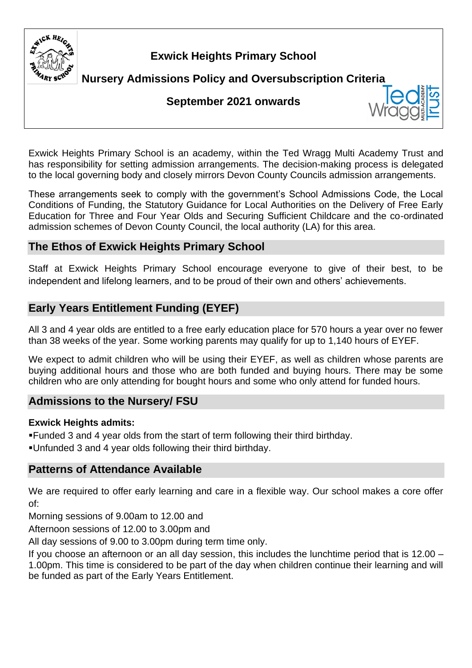

# **Exwick Heights Primary School**

**Nursery Admissions Policy and Oversubscription Criteria** 

# **September 2021 onwards**

Exwick Heights Primary School is an academy, within the Ted Wragg Multi Academy Trust and has responsibility for setting admission arrangements. The decision-making process is delegated to the local governing body and closely mirrors Devon County Councils admission arrangements.

These arrangements seek to comply with the government's School Admissions Code, the Local Conditions of Funding, the Statutory Guidance for Local Authorities on the Delivery of Free Early Education for Three and Four Year Olds and Securing Sufficient Childcare and the co-ordinated admission schemes of Devon County Council, the local authority (LA) for this area.

# **The Ethos of Exwick Heights Primary School**

Staff at Exwick Heights Primary School encourage everyone to give of their best, to be independent and lifelong learners, and to be proud of their own and others' achievements.

# **Early Years Entitlement Funding (EYEF)**

All 3 and 4 year olds are entitled to a free early education place for 570 hours a year over no fewer than 38 weeks of the year. Some working parents may qualify for up to 1,140 hours of EYEF.

We expect to admit children who will be using their EYEF, as well as children whose parents are buying additional hours and those who are both funded and buying hours. There may be some children who are only attending for bought hours and some who only attend for funded hours.

# **Admissions to the Nursery/ FSU**

### **Exwick Heights admits:**

▪Funded 3 and 4 year olds from the start of term following their third birthday.

▪Unfunded 3 and 4 year olds following their third birthday.

# **Patterns of Attendance Available**

We are required to offer early learning and care in a flexible way. Our school makes a core offer of:

Morning sessions of 9.00am to 12.00 and

Afternoon sessions of 12.00 to 3.00pm and

All day sessions of 9.00 to 3.00pm during term time only.

If you choose an afternoon or an all day session, this includes the lunchtime period that is 12.00 – 1.00pm. This time is considered to be part of the day when children continue their learning and will be funded as part of the Early Years Entitlement.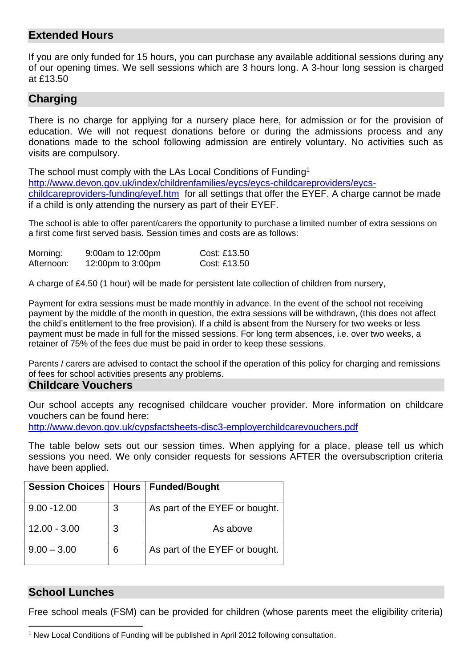### **Extended Hours**

If you are only funded for 15 hours, you can purchase any available additional sessions during any of our opening times. We sell sessions which are 3 hours long. A 3-hour long session is charged at £13.50

### **Charging**

There is no charge for applying for a nursery place here, for admission or for the provision of education. We will not request donations before or during the admissions process and any donations made to the school following admission are entirely voluntary. No activities such as visits are compulsory.

The school must comply with the LAs Local Conditions of Funding<sup>1</sup> [http://www.devon.gov.uk/index/childrenfamilies/eycs/eycs-childcareproviders/eycs](http://www.devon.gov.uk/index/childrenfamilies/eycs/eycs-childcareproviders/eycs-childcareproviders-funding/eyef.htm)[childcareproviders-funding/eyef.htm](http://www.devon.gov.uk/index/childrenfamilies/eycs/eycs-childcareproviders/eycs-childcareproviders-funding/eyef.htm) for all settings that offer the EYEF. A charge cannot be made if a child is only attending the nursery as part of their EYEF.

The school is able to offer parent/carers the opportunity to purchase a limited number of extra sessions on a first come first served basis. Session times and costs are as follows:

| Morning:   | 9:00am to 12:00pm | Cost: £13.50 |
|------------|-------------------|--------------|
| Afternoon: | 12:00pm to 3:00pm | Cost: £13.50 |

A charge of £4.50 (1 hour) will be made for persistent late collection of children from nursery,

Payment for extra sessions must be made monthly in advance. In the event of the school not receiving payment by the middle of the month in question, the extra sessions will be withdrawn, (this does not affect the child's entitlement to the free provision). If a child is absent from the Nursery for two weeks or less payment must be made in full for the missed sessions. For long term absences, i.e. over two weeks, a retainer of 75% of the fees due must be paid in order to keep these sessions.

Parents / carers are advised to contact the school if the operation of this policy for charging and remissions of fees for school activities presents any problems.

#### **Childcare Vouchers**

Our school accepts any recognised childcare voucher provider. More information on childcare vouchers can be found here:

<http://www.devon.gov.uk/cypsfactsheets-disc3-employerchildcarevouchers.pdf>

The table below sets out our session times. When applying for a place, please tell us which sessions you need. We only consider requests for sessions AFTER the oversubscription criteria have been applied.

| <b>Session Choices   Hours</b> |   | Funded/Bought                  |
|--------------------------------|---|--------------------------------|
| $9.00 - 12.00$                 | 3 | As part of the EYEF or bought. |
| $12.00 - 3.00$                 |   | As above                       |
| $9.00 - 3.00$                  | 6 | As part of the EYEF or bought. |

### **School Lunches**

Free school meals (FSM) can be provided for children (whose parents meet the eligibility criteria)

<sup>1</sup> New Local Conditions of Funding will be published in April 2012 following consultation.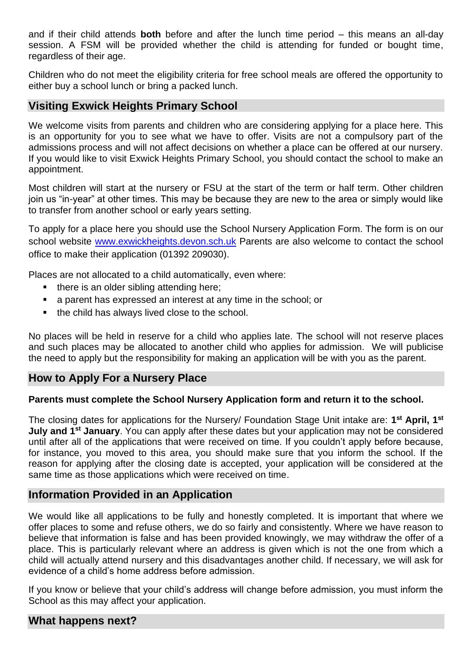and if their child attends **both** before and after the lunch time period – this means an all-day session. A FSM will be provided whether the child is attending for funded or bought time, regardless of their age.

Children who do not meet the eligibility criteria for free school meals are offered the opportunity to either buy a school lunch or bring a packed lunch.

### **Visiting Exwick Heights Primary School**

We welcome visits from parents and children who are considering applying for a place here. This is an opportunity for you to see what we have to offer. Visits are not a compulsory part of the admissions process and will not affect decisions on whether a place can be offered at our nursery. If you would like to visit Exwick Heights Primary School, you should contact the school to make an appointment.

Most children will start at the nursery or FSU at the start of the term or half term. Other children join us "in-year" at other times. This may be because they are new to the area or simply would like to transfer from another school or early years setting.

To apply for a place here you should use the School Nursery Application Form. The form is on our school website [www.exwickheights.devon.sch.uk](http://www.exwickheights.devon.sch.uk/) Parents are also welcome to contact the school office to make their application (01392 209030).

Places are not allocated to a child automatically, even where:

- there is an older sibling attending here;
- a parent has expressed an interest at any time in the school; or
- the child has always lived close to the school.

No places will be held in reserve for a child who applies late. The school will not reserve places and such places may be allocated to another child who applies for admission. We will publicise the need to apply but the responsibility for making an application will be with you as the parent.

### **How to Apply For a Nursery Place**

#### **Parents must complete the School Nursery Application form and return it to the school.**

The closing dates for applications for the Nursery/ Foundation Stage Unit intake are: **1 st April, 1st July and 1st January**. You can apply after these dates but your application may not be considered until after all of the applications that were received on time. If you couldn't apply before because, for instance, you moved to this area, you should make sure that you inform the school. If the reason for applying after the closing date is accepted, your application will be considered at the same time as those applications which were received on time.

### **Information Provided in an Application**

We would like all applications to be fully and honestly completed. It is important that where we offer places to some and refuse others, we do so fairly and consistently. Where we have reason to believe that information is false and has been provided knowingly, we may withdraw the offer of a place. This is particularly relevant where an address is given which is not the one from which a child will actually attend nursery and this disadvantages another child. If necessary, we will ask for evidence of a child's home address before admission.

If you know or believe that your child's address will change before admission, you must inform the School as this may affect your application.

#### **What happens next?**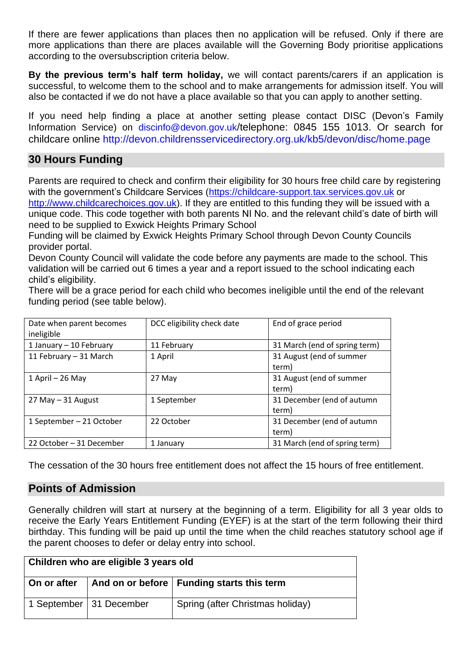If there are fewer applications than places then no application will be refused. Only if there are more applications than there are places available will the Governing Body prioritise applications according to the oversubscription criteria below.

**By the previous term's half term holiday,** we will contact parents/carers if an application is successful, to welcome them to the school and to make arrangements for admission itself. You will also be contacted if we do not have a place available so that you can apply to another setting.

If you need help finding a place at another setting please contact DISC (Devon's Family Information Service) on [discinfo@devon.gov.uk](mailto:discinfo@devon.gov.uk)/telephone: 0845 155 1013. Or search for childcare online<http://devon.childrensservicedirectory.org.uk/kb5/devon/disc/home.page>

### **30 Hours Funding**

Parents are required to check and confirm their eligibility for 30 hours free child care by registering with the government's Childcare Services [\(https://childcare-support.tax.services.gov.uk](https://childcare-support.tax.services.gov.uk/) or

[http://www.childcarechoices.gov.uk\)](http://www.childcarechoices.gov.uk/). If they are entitled to this funding they will be issued with a unique code. This code together with both parents NI No. and the relevant child's date of birth will need to be supplied to Exwick Heights Primary School

Funding will be claimed by Exwick Heights Primary School through Devon County Councils provider portal.

Devon County Council will validate the code before any payments are made to the school. This validation will be carried out 6 times a year and a report issued to the school indicating each child's eligibility.

There will be a grace period for each child who becomes ineligible until the end of the relevant funding period (see table below).

| Date when parent becomes<br>ineligible | DCC eligibility check date | End of grace period                 |
|----------------------------------------|----------------------------|-------------------------------------|
| 1 January - 10 February                | 11 February                | 31 March (end of spring term)       |
| 11 February - 31 March                 | 1 April                    | 31 August (end of summer<br>term)   |
| 1 April - 26 May                       | 27 May                     | 31 August (end of summer<br>term)   |
| 27 May - 31 August                     | 1 September                | 31 December (end of autumn<br>term) |
| 1 September - 21 October               | 22 October                 | 31 December (end of autumn<br>term) |
| 22 October - 31 December               | 1 January                  | 31 March (end of spring term)       |

The cessation of the 30 hours free entitlement does not affect the 15 hours of free entitlement.

### **Points of Admission**

Generally children will start at nursery at the beginning of a term. Eligibility for all 3 year olds to receive the Early Years Entitlement Funding (EYEF) is at the start of the term following their third birthday. This funding will be paid up until the time when the child reaches statutory school age if the parent chooses to defer or delay entry into school.

| Children who are eligible 3 years old |                           |                                             |  |
|---------------------------------------|---------------------------|---------------------------------------------|--|
| On or after                           |                           | And on or before   Funding starts this term |  |
|                                       | 1 September   31 December | Spring (after Christmas holiday)            |  |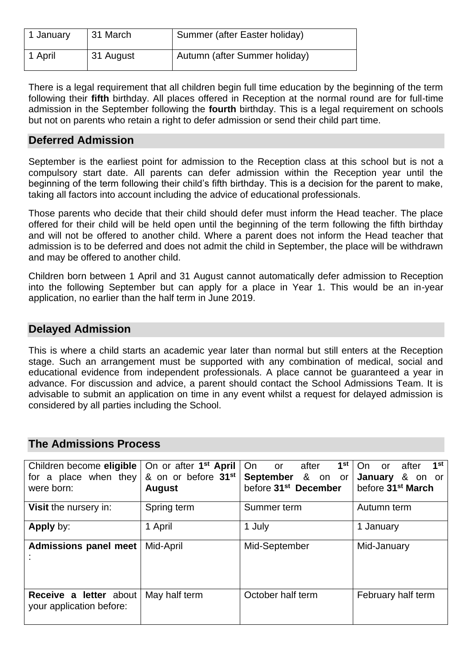| 1 January | 31 March  | Summer (after Easter holiday) |
|-----------|-----------|-------------------------------|
| 1 April   | 31 August | Autumn (after Summer holiday) |

There is a legal requirement that all children begin full time education by the beginning of the term following their **fifth** birthday. All places offered in Reception at the normal round are for full-time admission in the September following the **fourth** birthday. This is a legal requirement on schools but not on parents who retain a right to defer admission or send their child part time.

### **Deferred Admission**

September is the earliest point for admission to the Reception class at this school but is not a compulsory start date. All parents can defer admission within the Reception year until the beginning of the term following their child's fifth birthday. This is a decision for the parent to make, taking all factors into account including the advice of educational professionals.

Those parents who decide that their child should defer must inform the Head teacher. The place offered for their child will be held open until the beginning of the term following the fifth birthday and will not be offered to another child. Where a parent does not inform the Head teacher that admission is to be deferred and does not admit the child in September, the place will be withdrawn and may be offered to another child.

Children born between 1 April and 31 August cannot automatically defer admission to Reception into the following September but can apply for a place in Year 1. This would be an in-year application, no earlier than the half term in June 2019.

### **Delayed Admission**

This is where a child starts an academic year later than normal but still enters at the Reception stage. Such an arrangement must be supported with any combination of medical, social and educational evidence from independent professionals. A place cannot be guaranteed a year in advance. For discussion and advice, a parent should contact the School Admissions Team. It is advisable to submit an application on time in any event whilst a request for delayed admission is considered by all parties including the School.

| Children become eligible<br>for a place when they<br>were born: | On or after 1 <sup>st</sup> April<br>& on or before 31 <sup>st</sup><br><b>August</b> | 1 <sup>st</sup><br>after<br>On<br>$\overline{\mathsf{or}}$<br>September & on or<br>before 31 <sup>st</sup> December | 1 <sup>st</sup><br>after<br>On or<br>January & on or<br>before 31 <sup>st</sup> March |
|-----------------------------------------------------------------|---------------------------------------------------------------------------------------|---------------------------------------------------------------------------------------------------------------------|---------------------------------------------------------------------------------------|
| Visit the nursery in:                                           | Spring term                                                                           | Summer term                                                                                                         | Autumn term                                                                           |
| <b>Apply by:</b>                                                | 1 April                                                                               | 1 July                                                                                                              | 1 January                                                                             |
| <b>Admissions panel meet</b>                                    | Mid-April                                                                             | Mid-September                                                                                                       | Mid-January                                                                           |
| Receive a letter about<br>your application before:              | May half term                                                                         | October half term                                                                                                   | February half term                                                                    |

### **The Admissions Process**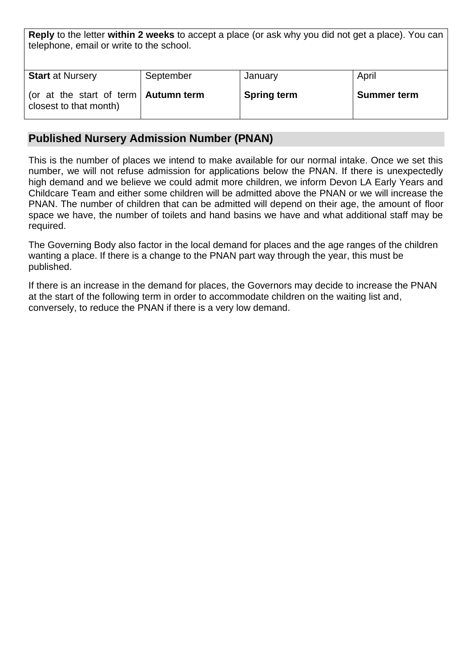**Reply** to the letter **within 2 weeks** to accept a place (or ask why you did not get a place). You can telephone, email or write to the school.

| <b>Start at Nursery</b>                      | September | January            | April              |
|----------------------------------------------|-----------|--------------------|--------------------|
|                                              |           |                    |                    |
| (or at the start of term $\vert$ Autumn term |           | <b>Spring term</b> | <b>Summer term</b> |
| closest to that month)                       |           |                    |                    |
|                                              |           |                    |                    |

### **Published Nursery Admission Number (PNAN)**

This is the number of places we intend to make available for our normal intake. Once we set this number, we will not refuse admission for applications below the PNAN. If there is unexpectedly high demand and we believe we could admit more children, we inform Devon LA Early Years and Childcare Team and either some children will be admitted above the PNAN or we will increase the PNAN. The number of children that can be admitted will depend on their age, the amount of floor space we have, the number of toilets and hand basins we have and what additional staff may be required.

The Governing Body also factor in the local demand for places and the age ranges of the children wanting a place. If there is a change to the PNAN part way through the year, this must be published.

If there is an increase in the demand for places, the Governors may decide to increase the PNAN at the start of the following term in order to accommodate children on the waiting list and, conversely, to reduce the PNAN if there is a very low demand.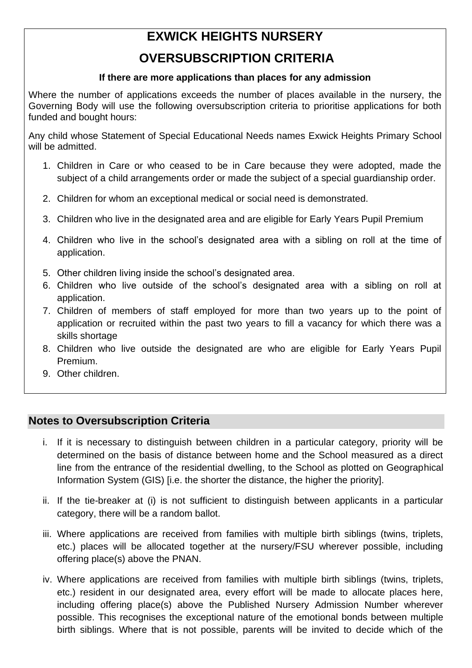# **EXWICK HEIGHTS NURSERY**

# **OVERSUBSCRIPTION CRITERIA**

### **If there are more applications than places for any admission**

Where the number of applications exceeds the number of places available in the nursery, the Governing Body will use the following oversubscription criteria to prioritise applications for both funded and bought hours:

Any child whose Statement of Special Educational Needs names Exwick Heights Primary School will be admitted.

- 1. Children in Care or who ceased to be in Care because they were adopted, made the subject of a child arrangements order or made the subject of a special guardianship order.
- 2. Children for whom an exceptional medical or social need is demonstrated.
- 3. Children who live in the designated area and are eligible for Early Years Pupil Premium
- 4. Children who live in the school's designated area with a sibling on roll at the time of application.
- 5. Other children living inside the school's designated area.
- 6. Children who live outside of the school's designated area with a sibling on roll at application.
- 7. Children of members of staff employed for more than two years up to the point of application or recruited within the past two years to fill a vacancy for which there was a skills shortage
- 8. Children who live outside the designated are who are eligible for Early Years Pupil Premium.
- 9. Other children.

# **Notes to Oversubscription Criteria**

- i. If it is necessary to distinguish between children in a particular category, priority will be determined on the basis of distance between home and the School measured as a direct line from the entrance of the residential dwelling, to the School as plotted on Geographical Information System (GIS) [i.e. the shorter the distance, the higher the priority].
- ii. If the tie-breaker at (i) is not sufficient to distinguish between applicants in a particular category, there will be a random ballot.
- iii. Where applications are received from families with multiple birth siblings (twins, triplets, etc.) places will be allocated together at the nursery/FSU wherever possible, including offering place(s) above the PNAN.
- iv. Where applications are received from families with multiple birth siblings (twins, triplets, etc.) resident in our designated area, every effort will be made to allocate places here, including offering place(s) above the Published Nursery Admission Number wherever possible. This recognises the exceptional nature of the emotional bonds between multiple birth siblings. Where that is not possible, parents will be invited to decide which of the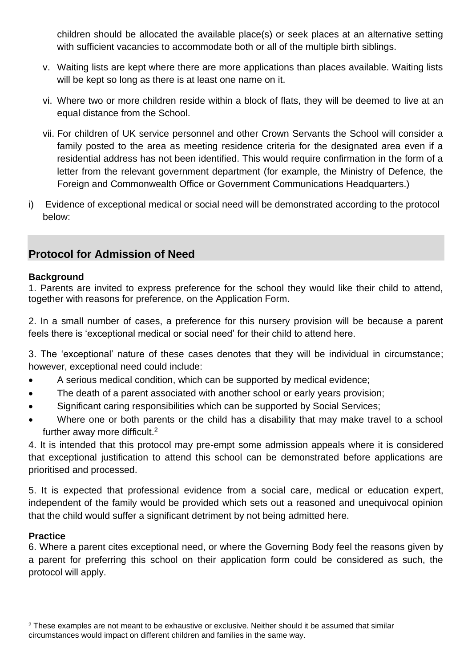children should be allocated the available place(s) or seek places at an alternative setting with sufficient vacancies to accommodate both or all of the multiple birth siblings.

- v. Waiting lists are kept where there are more applications than places available. Waiting lists will be kept so long as there is at least one name on it.
- vi. Where two or more children reside within a block of flats, they will be deemed to live at an equal distance from the School.
- vii. For children of UK service personnel and other Crown Servants the School will consider a family posted to the area as meeting residence criteria for the designated area even if a residential address has not been identified. This would require confirmation in the form of a letter from the relevant government department (for example, the Ministry of Defence, the Foreign and Commonwealth Office or Government Communications Headquarters.)
- i) Evidence of exceptional medical or social need will be demonstrated according to the protocol below:

# **Protocol for Admission of Need**

### **Background**

1. Parents are invited to express preference for the school they would like their child to attend, together with reasons for preference, on the Application Form.

2. In a small number of cases, a preference for this nursery provision will be because a parent feels there is 'exceptional medical or social need' for their child to attend here.

3. The 'exceptional' nature of these cases denotes that they will be individual in circumstance; however, exceptional need could include:

- A serious medical condition, which can be supported by medical evidence;
- The death of a parent associated with another school or early years provision;
- Significant caring responsibilities which can be supported by Social Services;
- Where one or both parents or the child has a disability that may make travel to a school further away more difficult.<sup>2</sup>

4. It is intended that this protocol may pre-empt some admission appeals where it is considered that exceptional justification to attend this school can be demonstrated before applications are prioritised and processed.

5. It is expected that professional evidence from a social care, medical or education expert, independent of the family would be provided which sets out a reasoned and unequivocal opinion that the child would suffer a significant detriment by not being admitted here.

### **Practice**

6. Where a parent cites exceptional need, or where the Governing Body feel the reasons given by a parent for preferring this school on their application form could be considered as such, the protocol will apply.

<sup>&</sup>lt;sup>2</sup> These examples are not meant to be exhaustive or exclusive. Neither should it be assumed that similar circumstances would impact on different children and families in the same way.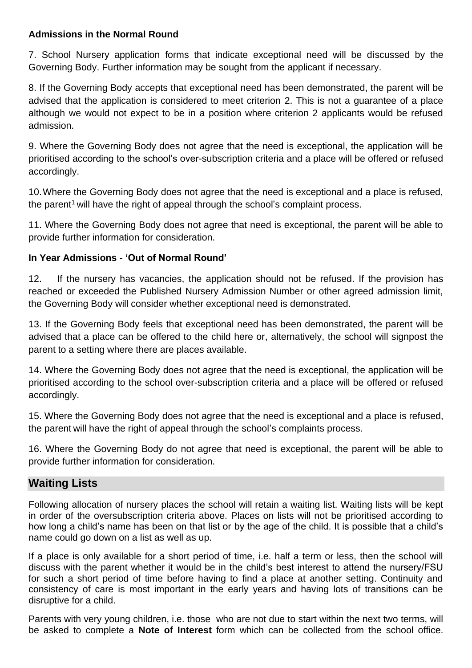### **Admissions in the Normal Round**

7. School Nursery application forms that indicate exceptional need will be discussed by the Governing Body. Further information may be sought from the applicant if necessary.

8. If the Governing Body accepts that exceptional need has been demonstrated, the parent will be advised that the application is considered to meet criterion 2. This is not a guarantee of a place although we would not expect to be in a position where criterion 2 applicants would be refused admission.

9. Where the Governing Body does not agree that the need is exceptional, the application will be prioritised according to the school's over-subscription criteria and a place will be offered or refused accordingly.

10.Where the Governing Body does not agree that the need is exceptional and a place is refused, the parent<sup>1</sup> will have the right of appeal through the school's complaint process.

11. Where the Governing Body does not agree that need is exceptional, the parent will be able to provide further information for consideration.

### **In Year Admissions - 'Out of Normal Round'**

12. If the nursery has vacancies, the application should not be refused. If the provision has reached or exceeded the Published Nursery Admission Number or other agreed admission limit, the Governing Body will consider whether exceptional need is demonstrated.

13. If the Governing Body feels that exceptional need has been demonstrated, the parent will be advised that a place can be offered to the child here or, alternatively, the school will signpost the parent to a setting where there are places available.

14. Where the Governing Body does not agree that the need is exceptional, the application will be prioritised according to the school over-subscription criteria and a place will be offered or refused accordingly.

15. Where the Governing Body does not agree that the need is exceptional and a place is refused, the parent will have the right of appeal through the school's complaints process.

16. Where the Governing Body do not agree that need is exceptional, the parent will be able to provide further information for consideration.

# **Waiting Lists**

Following allocation of nursery places the school will retain a waiting list. Waiting lists will be kept in order of the oversubscription criteria above. Places on lists will not be prioritised according to how long a child's name has been on that list or by the age of the child. It is possible that a child's name could go down on a list as well as up.

If a place is only available for a short period of time, i.e. half a term or less, then the school will discuss with the parent whether it would be in the child's best interest to attend the nursery/FSU for such a short period of time before having to find a place at another setting. Continuity and consistency of care is most important in the early years and having lots of transitions can be disruptive for a child.

Parents with very young children, i.e. those who are not due to start within the next two terms, will be asked to complete a **Note of Interest** form which can be collected from the school office.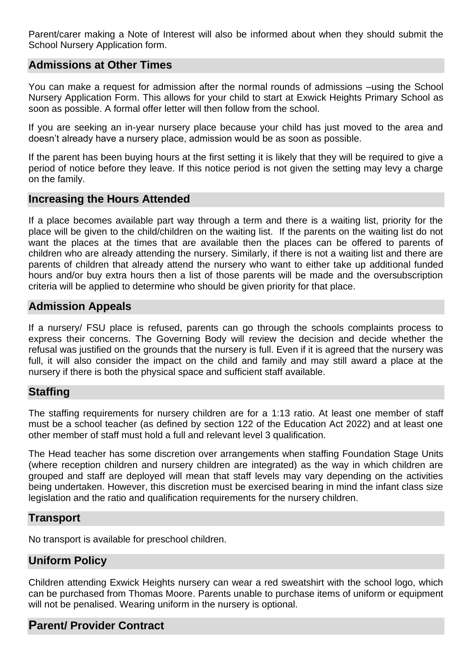Parent/carer making a Note of Interest will also be informed about when they should submit the School Nursery Application form.

### **Admissions at Other Times**

You can make a request for admission after the normal rounds of admissions –using the School Nursery Application Form. This allows for your child to start at Exwick Heights Primary School as soon as possible. A formal offer letter will then follow from the school.

If you are seeking an in-year nursery place because your child has just moved to the area and doesn't already have a nursery place, admission would be as soon as possible.

If the parent has been buying hours at the first setting it is likely that they will be required to give a period of notice before they leave. If this notice period is not given the setting may levy a charge on the family.

### **Increasing the Hours Attended**

If a place becomes available part way through a term and there is a waiting list, priority for the place will be given to the child/children on the waiting list. If the parents on the waiting list do not want the places at the times that are available then the places can be offered to parents of children who are already attending the nursery. Similarly, if there is not a waiting list and there are parents of children that already attend the nursery who want to either take up additional funded hours and/or buy extra hours then a list of those parents will be made and the oversubscription criteria will be applied to determine who should be given priority for that place.

### **Admission Appeals**

If a nursery/ FSU place is refused, parents can go through the schools complaints process to express their concerns. The Governing Body will review the decision and decide whether the refusal was justified on the grounds that the nursery is full. Even if it is agreed that the nursery was full, it will also consider the impact on the child and family and may still award a place at the nursery if there is both the physical space and sufficient staff available.

### **Staffing**

The staffing requirements for nursery children are for a 1:13 ratio. At least one member of staff must be a school teacher (as defined by section 122 of the Education Act 2022) and at least one other member of staff must hold a full and relevant level 3 qualification.

The Head teacher has some discretion over arrangements when staffing Foundation Stage Units (where reception children and nursery children are integrated) as the way in which children are grouped and staff are deployed will mean that staff levels may vary depending on the activities being undertaken. However, this discretion must be exercised bearing in mind the infant class size legislation and the ratio and qualification requirements for the nursery children.

### **Transport**

No transport is available for preschool children.

### **Uniform Policy**

Children attending Exwick Heights nursery can wear a red sweatshirt with the school logo, which can be purchased from Thomas Moore. Parents unable to purchase items of uniform or equipment will not be penalised. Wearing uniform in the nursery is optional.

### **Parent/ Provider Contract**